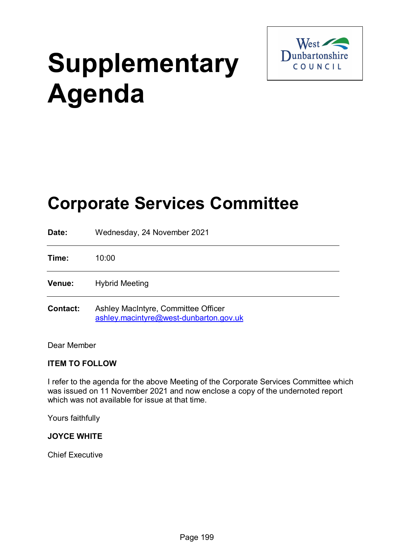

# **Supplementary Agenda**

# **Corporate Services Committee**

| Date:           | Wednesday, 24 November 2021                                                   |
|-----------------|-------------------------------------------------------------------------------|
| Time:           | 10:00                                                                         |
| Venue:          | <b>Hybrid Meeting</b>                                                         |
| <b>Contact:</b> | Ashley MacIntyre, Committee Officer<br>ashley.macintyre@west-dunbarton.gov.uk |

Dear Member

# **ITEM TO FOLLOW**

I refer to the agenda for the above Meeting of the Corporate Services Committee which was issued on 11 November 2021 and now enclose a copy of the undernoted report which was not available for issue at that time.

Yours faithfully

#### **JOYCE WHITE**

Chief Executive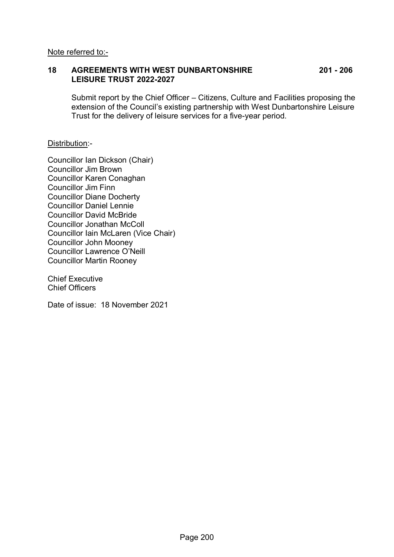#### **18 AGREEMENTS WITH WEST DUNBARTONSHIRE 201 - 206 LEISURE TRUST 2022-2027**

Submit report by the Chief Officer – Citizens, Culture and Facilities proposing the extension of the Council's existing partnership with West Dunbartonshire Leisure Trust for the delivery of leisure services for a five-year period.

#### Distribution:-

Councillor Ian Dickson (Chair) Councillor Jim Brown Councillor Karen Conaghan Councillor Jim Finn Councillor Diane Docherty Councillor Daniel Lennie Councillor David McBride Councillor Jonathan McColl Councillor Iain McLaren (Vice Chair) Councillor John Mooney Councillor Lawrence O'Neill Councillor Martin Rooney

Chief Executive Chief Officers

Date of issue: 18 November 2021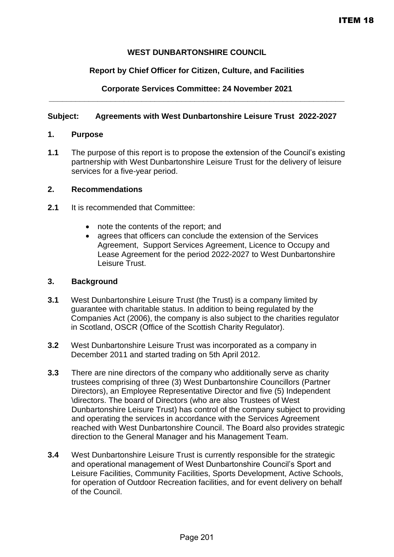### **WEST DUNBARTONSHIRE COUNCIL**

#### **Report by Chief Officer for Citizen, Culture, and Facilities**

#### **Corporate Services Committee: 24 November 2021 \_\_\_\_\_\_\_\_\_\_\_\_\_\_\_\_\_\_\_\_\_\_\_\_\_\_\_\_\_\_\_\_\_\_\_\_\_\_\_\_\_\_\_\_\_\_\_\_\_\_\_\_\_\_\_\_\_\_\_\_\_\_\_\_\_\_\_**

#### **Subject: Agreements with West Dunbartonshire Leisure Trust 2022-2027**

#### **1. Purpose**

**1.1** The purpose of this report is to propose the extension of the Council's existing partnership with West Dunbartonshire Leisure Trust for the delivery of leisure services for a five-year period.

#### **2. Recommendations**

- **2.1** It is recommended that Committee:
	- note the contents of the report; and
	- agrees that officers can conclude the extension of the Services Agreement, Support Services Agreement, Licence to Occupy and Lease Agreement for the period 2022-2027 to West Dunbartonshire Leisure Trust.

#### **3. Background**

- **3.1** West Dunbartonshire Leisure Trust (the Trust) is a company limited by guarantee with charitable status. In addition to being regulated by the Companies Act (2006), the company is also subject to the charities regulator in Scotland, OSCR (Office of the Scottish Charity Regulator).
- **3.2** West Dunbartonshire Leisure Trust was incorporated as a company in December 2011 and started trading on 5th April 2012.
- **3.3** There are nine directors of the company who additionally serve as charity trustees comprising of three (3) West Dunbartonshire Councillors (Partner Directors), an Employee Representative Director and five (5) Independent \directors. The board of Directors (who are also Trustees of West Dunbartonshire Leisure Trust) has control of the company subject to providing and operating the services in accordance with the Services Agreement reached with West Dunbartonshire Council. The Board also provides strategic direction to the General Manager and his Management Team.
- **3.4** West Dunbartonshire Leisure Trust is currently responsible for the strategic and operational management of West Dunbartonshire Council's Sport and Leisure Facilities, Community Facilities, Sports Development, Active Schools, for operation of Outdoor Recreation facilities, and for event delivery on behalf of the Council.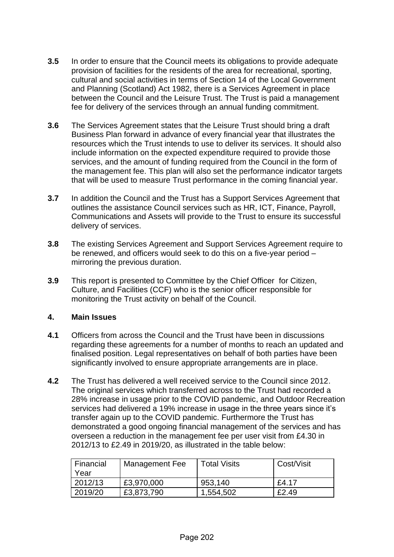- **3.5** In order to ensure that the Council meets its obligations to provide adequate provision of facilities for the residents of the area for recreational, sporting, cultural and social activities in terms of Section 14 of the Local Government and Planning (Scotland) Act 1982, there is a Services Agreement in place between the Council and the Leisure Trust. The Trust is paid a management fee for delivery of the services through an annual funding commitment.
- **3.6** The Services Agreement states that the Leisure Trust should bring a draft Business Plan forward in advance of every financial year that illustrates the resources which the Trust intends to use to deliver its services. It should also include information on the expected expenditure required to provide those services, and the amount of funding required from the Council in the form of the management fee. This plan will also set the performance indicator targets that will be used to measure Trust performance in the coming financial year.
- **3.7** In addition the Council and the Trust has a Support Services Agreement that outlines the assistance Council services such as HR, ICT, Finance, Payroll, Communications and Assets will provide to the Trust to ensure its successful delivery of services.
- **3.8** The existing Services Agreement and Support Services Agreement require to be renewed, and officers would seek to do this on a five-year period – mirroring the previous duration.
- **3.9** This report is presented to Committee by the Chief Officer for Citizen, Culture, and Facilities (CCF) who is the senior officer responsible for monitoring the Trust activity on behalf of the Council.

#### **4. Main Issues**

- **4.1** Officers from across the Council and the Trust have been in discussions regarding these agreements for a number of months to reach an updated and finalised position. Legal representatives on behalf of both parties have been significantly involved to ensure appropriate arrangements are in place.
- **4.2** The Trust has delivered a well received service to the Council since 2012. The original services which transferred across to the Trust had recorded a 28% increase in usage prior to the COVID pandemic, and Outdoor Recreation services had delivered a 19% increase in usage in the three years since it's transfer again up to the COVID pandemic. Furthermore the Trust has demonstrated a good ongoing financial management of the services and has overseen a reduction in the management fee per user visit from £4.30 in 2012/13 to £2.49 in 2019/20, as illustrated in the table below:

| Financial<br>Year | Management Fee | <b>Total Visits</b> | Cost/Visit |
|-------------------|----------------|---------------------|------------|
| 2012/13           | £3,970,000     | 953,140             | £4.17      |
| 2019/20           | £3,873,790     | 1,554,502           | £2.49      |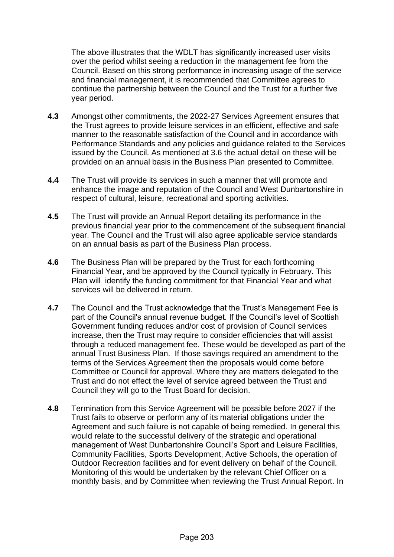The above illustrates that the WDLT has significantly increased user visits over the period whilst seeing a reduction in the management fee from the Council. Based on this strong performance in increasing usage of the service and financial management, it is recommended that Committee agrees to continue the partnership between the Council and the Trust for a further five year period.

- **4.3** Amongst other commitments, the 2022-27 Services Agreement ensures that the Trust agrees to provide leisure services in an efficient, effective and safe manner to the reasonable satisfaction of the Council and in accordance with Performance Standards and any policies and guidance related to the Services issued by the Council. As mentioned at 3.6 the actual detail on these will be provided on an annual basis in the Business Plan presented to Committee.
- **4.4** The Trust will provide its services in such a manner that will promote and enhance the image and reputation of the Council and West Dunbartonshire in respect of cultural, leisure, recreational and sporting activities.
- **4.5** The Trust will provide an Annual Report detailing its performance in the previous financial year prior to the commencement of the subsequent financial year. The Council and the Trust will also agree applicable service standards on an annual basis as part of the Business Plan process.
- **4.6** The Business Plan will be prepared by the Trust for each forthcoming Financial Year, and be approved by the Council typically in February. This Plan will identify the funding commitment for that Financial Year and what services will be delivered in return.
- **4.7** The Council and the Trust acknowledge that the Trust's Management Fee is part of the Council's annual revenue budget. If the Council's level of Scottish Government funding reduces and/or cost of provision of Council services increase, then the Trust may require to consider efficiencies that will assist through a reduced management fee. These would be developed as part of the annual Trust Business Plan. If those savings required an amendment to the terms of the Services Agreement then the proposals would come before Committee or Council for approval. Where they are matters delegated to the Trust and do not effect the level of service agreed between the Trust and Council they will go to the Trust Board for decision.
- **4.8** Termination from this Service Agreement will be possible before 2027 if the Trust fails to observe or perform any of its material obligations under the Agreement and such failure is not capable of being remedied. In general this would relate to the successful delivery of the strategic and operational management of West Dunbartonshire Council's Sport and Leisure Facilities, Community Facilities, Sports Development, Active Schools, the operation of Outdoor Recreation facilities and for event delivery on behalf of the Council. Monitoring of this would be undertaken by the relevant Chief Officer on a monthly basis, and by Committee when reviewing the Trust Annual Report. In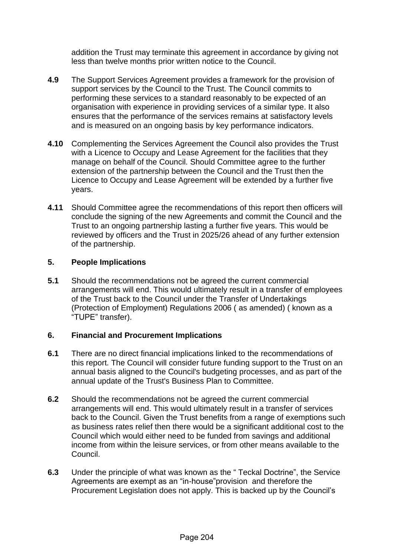addition the Trust may terminate this agreement in accordance by giving not less than twelve months prior written notice to the Council.

- **4.9** The Support Services Agreement provides a framework for the provision of support services by the Council to the Trust. The Council commits to performing these services to a standard reasonably to be expected of an organisation with experience in providing services of a similar type. It also ensures that the performance of the services remains at satisfactory levels and is measured on an ongoing basis by key performance indicators.
- **4.10** Complementing the Services Agreement the Council also provides the Trust with a Licence to Occupy and Lease Agreement for the facilities that they manage on behalf of the Council. Should Committee agree to the further extension of the partnership between the Council and the Trust then the Licence to Occupy and Lease Agreement will be extended by a further five years.
- **4.11** Should Committee agree the recommendations of this report then officers will conclude the signing of the new Agreements and commit the Council and the Trust to an ongoing partnership lasting a further five years. This would be reviewed by officers and the Trust in 2025/26 ahead of any further extension of the partnership.

#### **5. People Implications**

**5.1** Should the recommendations not be agreed the current commercial arrangements will end. This would ultimately result in a transfer of employees of the Trust back to the Council under the Transfer of Undertakings (Protection of Employment) Regulations 2006 ( as amended) ( known as a "TUPE" transfer).

#### **6. Financial and Procurement Implications**

- **6.1** There are no direct financial implications linked to the recommendations of this report. The Council will consider future funding support to the Trust on an annual basis aligned to the Council's budgeting processes, and as part of the annual update of the Trust's Business Plan to Committee.
- **6.2** Should the recommendations not be agreed the current commercial arrangements will end. This would ultimately result in a transfer of services back to the Council. Given the Trust benefits from a range of exemptions such as business rates relief then there would be a significant additional cost to the Council which would either need to be funded from savings and additional income from within the leisure services, or from other means available to the Council.
- **6.3** Under the principle of what was known as the " Teckal Doctrine", the Service Agreements are exempt as an "in-house"provision and therefore the Procurement Legislation does not apply. This is backed up by the Council's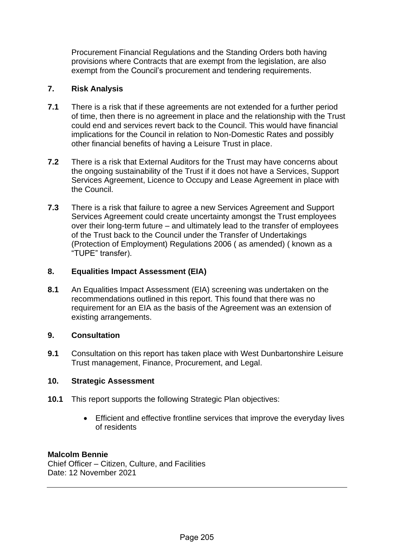Procurement Financial Regulations and the Standing Orders both having provisions where Contracts that are exempt from the legislation, are also exempt from the Council's procurement and tendering requirements.

## **7. Risk Analysis**

- **7.1** There is a risk that if these agreements are not extended for a further period of time, then there is no agreement in place and the relationship with the Trust could end and services revert back to the Council. This would have financial implications for the Council in relation to Non-Domestic Rates and possibly other financial benefits of having a Leisure Trust in place.
- **7.2** There is a risk that External Auditors for the Trust may have concerns about the ongoing sustainability of the Trust if it does not have a Services, Support Services Agreement, Licence to Occupy and Lease Agreement in place with the Council.
- **7.3** There is a risk that failure to agree a new Services Agreement and Support Services Agreement could create uncertainty amongst the Trust employees over their long-term future – and ultimately lead to the transfer of employees of the Trust back to the Council under the Transfer of Undertakings (Protection of Employment) Regulations 2006 ( as amended) ( known as a "TUPE" transfer).

#### **8. Equalities Impact Assessment (EIA)**

**8.1** An Equalities Impact Assessment (EIA) screening was undertaken on the recommendations outlined in this report. This found that there was no requirement for an EIA as the basis of the Agreement was an extension of existing arrangements.

#### **9. Consultation**

**9.1** Consultation on this report has taken place with West Dunbartonshire Leisure Trust management, Finance, Procurement, and Legal.

#### **10. Strategic Assessment**

- **10.1** This report supports the following Strategic Plan objectives:
	- Efficient and effective frontline services that improve the everyday lives of residents

#### **Malcolm Bennie**

Chief Officer – Citizen, Culture, and Facilities Date: 12 November 2021